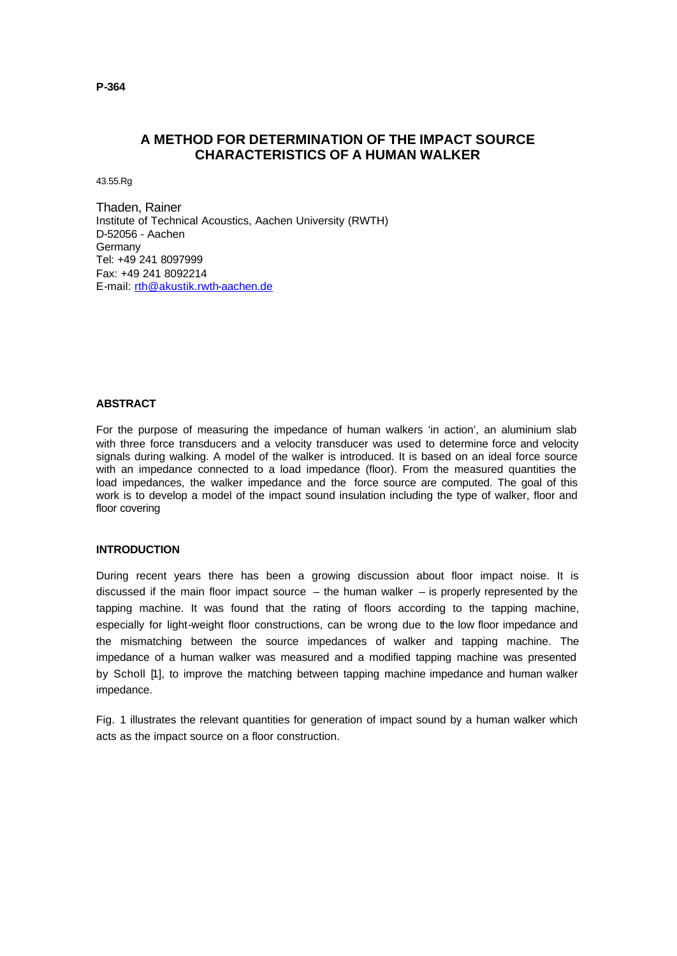# **A METHOD FOR DETERMINATION OF THE IMPACT SOURCE CHARACTERISTICS OF A HUMAN WALKER**

43.55.Rg

Thaden, Rainer Institute of Technical Acoustics, Aachen University (RWTH) D-52056 - Aachen Germany Tel: +49 241 8097999 Fax: +49 241 8092214 E-mail: rth@akustik.rwth-aachen.de

# **ABSTRACT**

For the purpose of measuring the impedance of human walkers 'in action', an aluminium slab with three force transducers and a velocity transducer was used to determine force and velocity signals during walking. A model of the walker is introduced. It is based on an ideal force source with an impedance connected to a load impedance (floor). From the measured quantities the load impedances, the walker impedance and the force source are computed. The goal of this work is to develop a model of the impact sound insulation including the type of walker, floor and floor covering

#### **INTRODUCTION**

During recent years there has been a growing discussion about floor impact noise. It is discussed if the main floor impact source  $-$  the human walker  $-$  is properly represented by the tapping machine. It was found that the rating of floors according to the tapping machine, especially for light-weight floor constructions, can be wrong due to the low floor impedance and the mismatching between the source impedances of walker and tapping machine. The impedance of a human walker was measured and a modified tapping machine was presented by Scholl [1], to improve the matching between tapping machine impedance and human walker impedance.

Fig. 1 illustrates the relevant quantities for generation of impact sound by a human walker which acts as the impact source on a floor construction.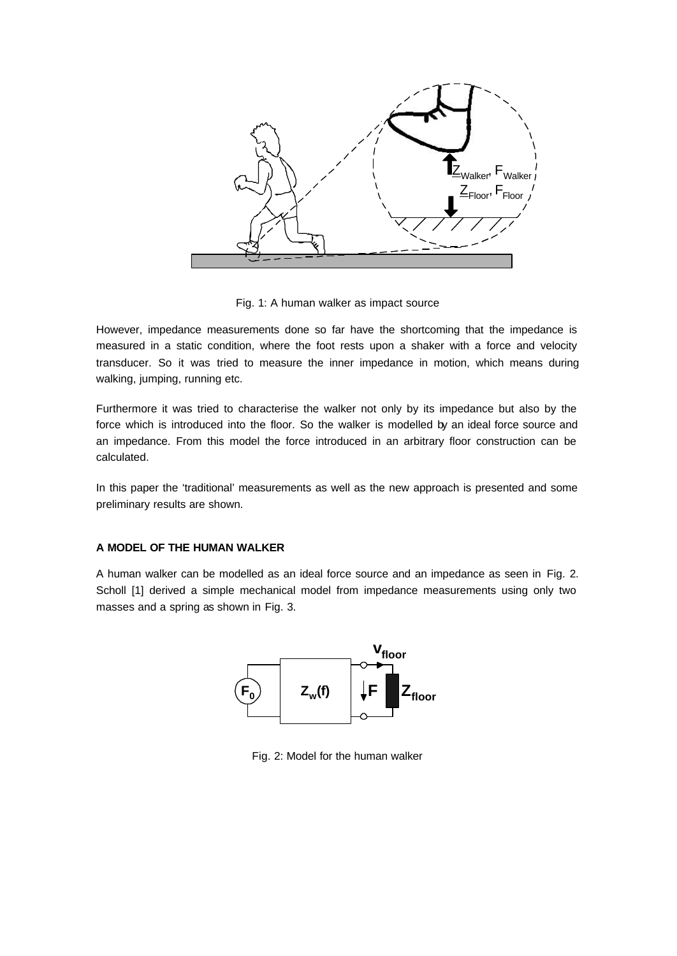

Fig. 1: A human walker as impact source

However, impedance measurements done so far have the shortcoming that the impedance is measured in a static condition, where the foot rests upon a shaker with a force and velocity transducer. So it was tried to measure the inner impedance in motion, which means during walking, jumping, running etc.

Furthermore it was tried to characterise the walker not only by its impedance but also by the force which is introduced into the floor. So the walker is modelled by an ideal force source and an impedance. From this model the force introduced in an arbitrary floor construction can be calculated.

In this paper the 'traditional' measurements as well as the new approach is presented and some preliminary results are shown.

# **A MODEL OF THE HUMAN WALKER**

A human walker can be modelled as an ideal force source and an impedance as seen in Fig. 2. Scholl [1] derived a simple mechanical model from impedance measurements using only two masses and a spring as shown in Fig. 3.



Fig. 2: Model for the human walker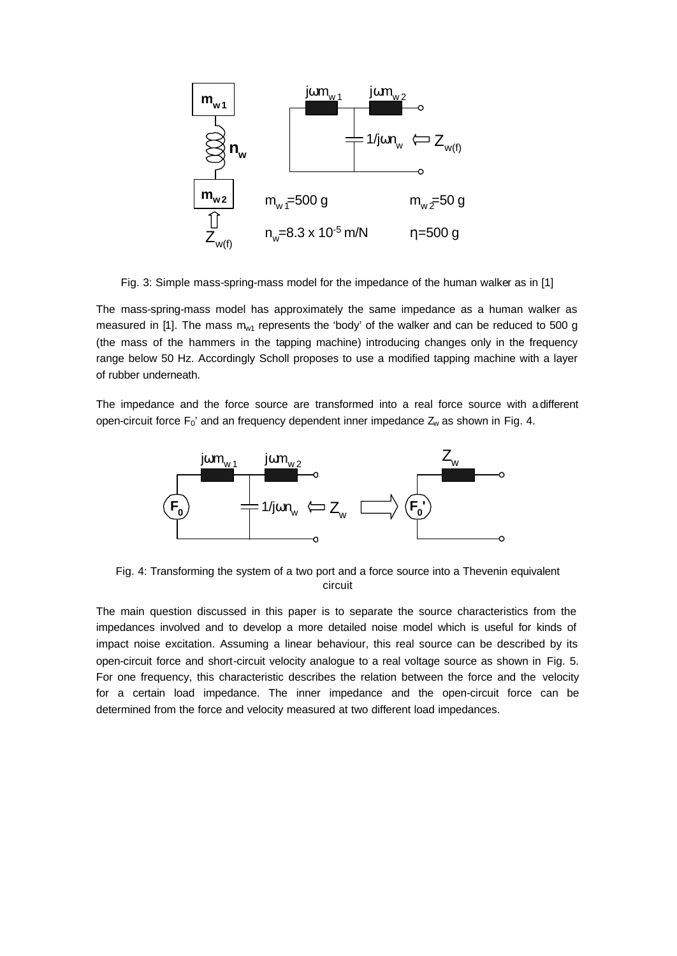

Fig. 3: Simple mass-spring-mass model for the impedance of the human walker as in [1]

The mass-spring-mass model has approximately the same impedance as a human walker as measured in [1]. The mass  $m_{w1}$  represents the 'body' of the walker and can be reduced to 500 g (the mass of the hammers in the tapping machine) introducing changes only in the frequency range below 50 Hz. Accordingly Scholl proposes to use a modified tapping machine with a layer of rubber underneath.

The impedance and the force source are transformed into a real force source with a different open-circuit force  $F_0'$  and an frequency dependent inner impedance  $Z_w$  as shown in Fig. 4.



Fig. 4: Transforming the system of a two port and a force source into a Thevenin equivalent circuit

The main question discussed in this paper is to separate the source characteristics from the impedances involved and to develop a more detailed noise model which is useful for kinds of impact noise excitation. Assuming a linear behaviour, this real source can be described by its open-circuit force and short-circuit velocity analogue to a real voltage source as shown in Fig. 5. For one frequency, this characteristic describes the relation between the force and the velocity for a certain load impedance. The inner impedance and the open-circuit force can be determined from the force and velocity measured at two different load impedances.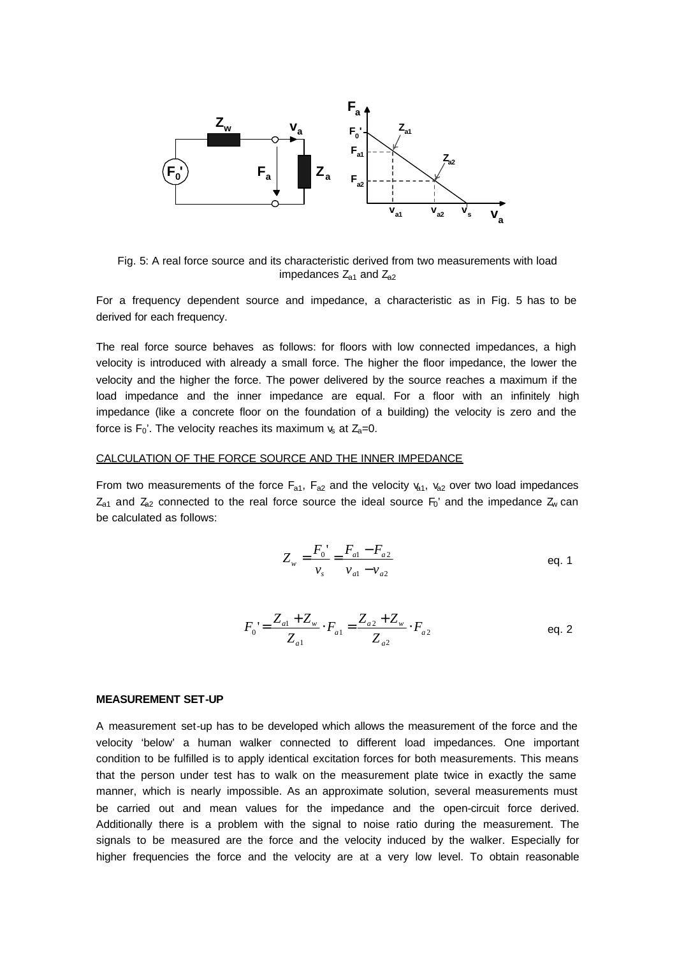

Fig. 5: A real force source and its characteristic derived from two measurements with load impedances  $Z_{a1}$  and  $Z_{a2}$ 

For a frequency dependent source and impedance, a characteristic as in Fig. 5 has to be derived for each frequency.

The real force source behaves as follows: for floors with low connected impedances, a high velocity is introduced with already a small force. The higher the floor impedance, the lower the velocity and the higher the force. The power delivered by the source reaches a maximum if the load impedance and the inner impedance are equal. For a floor with an infinitely high impedance (like a concrete floor on the foundation of a building) the velocity is zero and the force is  $F_0'$ . The velocity reaches its maximum  $v_s$  at  $Z_a=0$ .

### CALCULATION OF THE FORCE SOURCE AND THE INNER IMPEDANCE

From two measurements of the force  $F_{a1}$ ,  $F_{a2}$  and the velocity  $v_{a1}$ ,  $v_{a2}$  over two load impedances  $Z_{a1}$  and  $Z_{a2}$  connected to the real force source the ideal source  $F_0$ ' and the impedance  $Z_w$  can be calculated as follows:

$$
Z_w = \frac{F_0'}{v_s} = \frac{F_{a1} - F_{a2}}{v_{a1} - v_{a2}}
$$
 eq. 1

$$
F_0 = \frac{Z_{a1} + Z_w}{Z_{a1}} \cdot F_{a1} = \frac{Z_{a2} + Z_w}{Z_{a2}} \cdot F_{a2}
$$
eq. 2

#### **MEASUREMENT SET-UP**

A measurement set-up has to be developed which allows the measurement of the force and the velocity 'below' a human walker connected to different load impedances. One important condition to be fulfilled is to apply identical excitation forces for both measurements. This means that the person under test has to walk on the measurement plate twice in exactly the same manner, which is nearly impossible. As an approximate solution, several measurements must be carried out and mean values for the impedance and the open-circuit force derived. Additionally there is a problem with the signal to noise ratio during the measurement. The signals to be measured are the force and the velocity induced by the walker. Especially for higher frequencies the force and the velocity are at a very low level. To obtain reasonable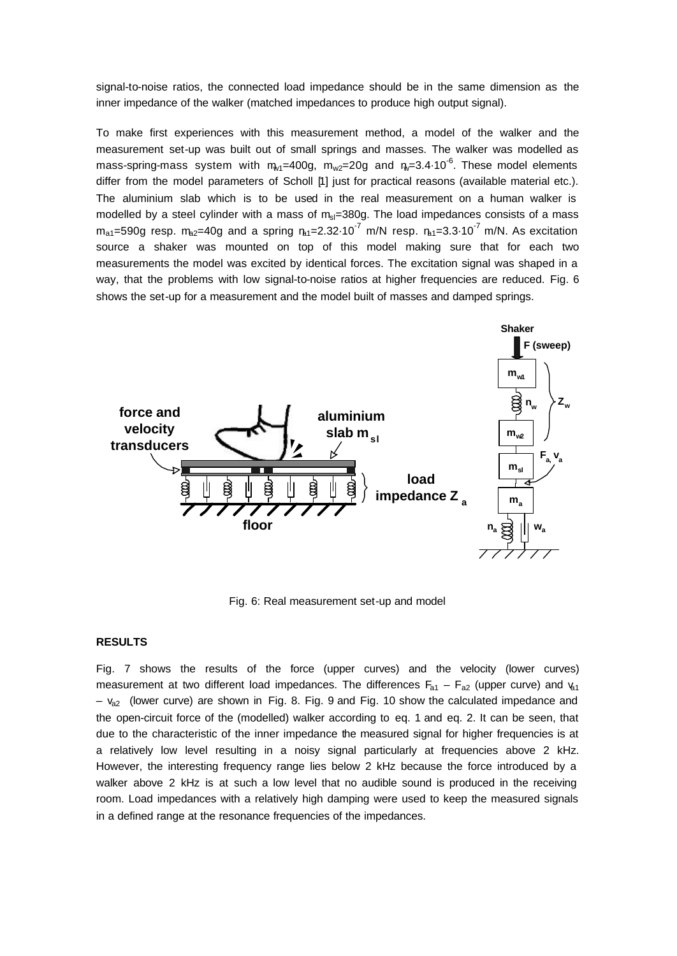signal-to-noise ratios, the connected load impedance should be in the same dimension as the inner impedance of the walker (matched impedances to produce high output signal).

To make first experiences with this measurement method, a model of the walker and the measurement set-up was built out of small springs and masses. The walker was modelled as mass-spring-mass system with  $m_{w1}$ =400g, m<sub>w2</sub>=20g and  $n_{w}$ =3.4 $\cdot$ 10<sup>-6</sup>. These model elements differ from the model parameters of Scholl [1] just for practical reasons (available material etc.). The aluminium slab which is to be used in the real measurement on a human walker is modelled by a steel cylinder with a mass of  $m_{sl}=380g$ . The load impedances consists of a mass  $m_{a1}$ =590g resp.  $m_{a2}$ =40g and a spring  $n_{a1}$ =2.32 $\cdot$ 10<sup>-7</sup> m/N resp.  $n_{a1}$ =3.3 $\cdot$ 10<sup>-7</sup> m/N. As excitation source a shaker was mounted on top of this model making sure that for each two measurements the model was excited by identical forces. The excitation signal was shaped in a way, that the problems with low signal-to-noise ratios at higher frequencies are reduced. Fig. 6 shows the set-up for a measurement and the model built of masses and damped springs.



Fig. 6: Real measurement set-up and model

## **RESULTS**

Fig. 7 shows the results of the force (upper curves) and the velocity (lower curves) measurement at two different load impedances. The differences  $F_{a1} - F_{a2}$  (upper curve) and  $v_{a1}$  $- v_{a2}$  (lower curve) are shown in Fig. 8. Fig. 9 and Fig. 10 show the calculated impedance and the open-circuit force of the (modelled) walker according to eq. 1 and eq. 2. It can be seen, that due to the characteristic of the inner impedance the measured signal for higher frequencies is at a relatively low level resulting in a noisy signal particularly at frequencies above 2 kHz. However, the interesting frequency range lies below 2 kHz because the force introduced by a walker above 2 kHz is at such a low level that no audible sound is produced in the receiving room. Load impedances with a relatively high damping were used to keep the measured signals in a defined range at the resonance frequencies of the impedances.